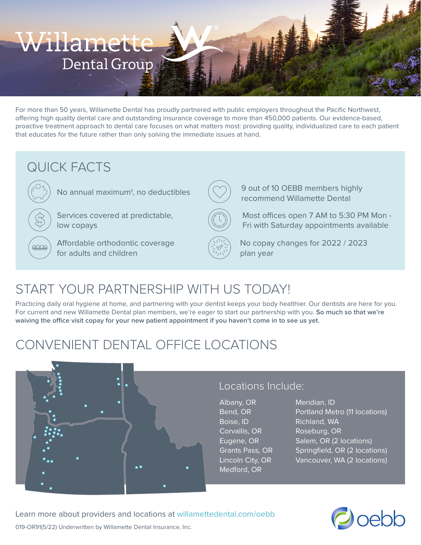# Willamette Dental Group

For more than 50 years, Willamette Dental has proudly partnered with public employers throughout the Pacific Northwest, offering high quality dental care and outstanding insurance coverage to more than 450,000 patients. Our evidence-based, proactive treatment approach to dental care focuses on what matters most: providing quality, individualized care to each patient that educates for the future rather than only solving the immediate issues at hand.

### QUICK FACTS



No annual maximum<sup>1</sup>, no deductibles

Services covered at predictable, low copays

Affordable orthodontic coverage for adults and children



9 out of 10 OEBB members highly recommend Willamette Dental

Most offices open 7 AM to 5:30 PM Mon - Fri with Saturday appointments available



No copay changes for 2022 / 2023 plan year

# START YOUR PARTNERSHIP WITH US TODAY!

Practicing daily oral hygiene at home, and partnering with your dentist keeps your body healthier. Our dentists are here for you. For current and new Willamette Dental plan members, we're eager to start our partnership with you. **So much so that we're waiving the office visit copay for your new patient appointment if you haven't come in to see us yet.**

# CONVENIENT DENTAL OFFICE LOCATIONS



#### Locations Include:

Albany, OR Bend, OR Boise, ID Corvallis, OR Eugene, OR Grants Pass, OR Lincoln City, OR Medford, OR

Meridian, ID Portland Metro (11 locations) Richland, WA Roseburg, OR Salem, OR (2 locations) Springfield, OR (2 locations) Vancouver, WA (2 locations)



019-OR91(5/22) Underwritten by Willamette Dental Insurance, Inc. Learn more about providers and locations at willamettedental.com/oebb